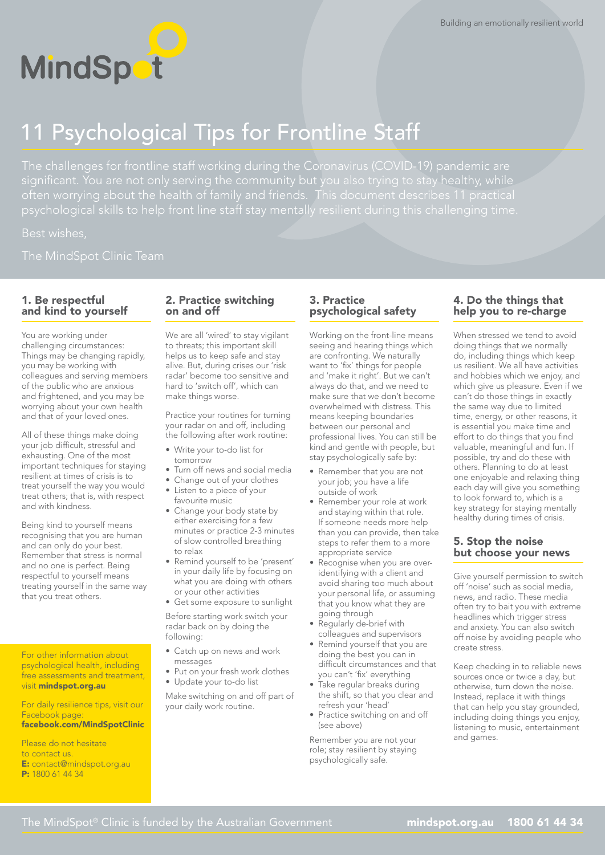

# 11 Psychological Tips for Frontline Staff

Best wishes,

## 1. Be respectful and kind to yourself

You are working under challenging circumstances: Things may be changing rapidly, you may be working with colleagues and serving members of the public who are anxious and frightened, and you may be worrying about your own health and that of your loved ones.

All of these things make doing your job difficult, stressful and exhausting. One of the most important techniques for staying resilient at times of crisis is to treat yourself the way you would treat others; that is, with respect and with kindness.

Being kind to yourself means recognising that you are human and can only do your best. Remember that stress is normal and no one is perfect. Being respectful to yourself means treating yourself in the same way that you treat others.

For other information about psychological health, including free assessments and treatment, visit [mindspot.org.au](http://mindspot.org.au)

For daily resilience tips, visit our Facebook page: [facebook.com/MindSpotClinic](http://facebook.com/MindSpotClinic )

Please do not hesitate to contact us. E: [contact@mindspot.org.au](mailto:contact%40mindspot.org.au?subject=)  P: 1800 61 44 34

## 2. Practice switching on and off

We are all 'wired' to stay vigilant to threats; this important skill helps us to keep safe and stay alive. But, during crises our 'risk radar' become too sensitive and hard to 'switch off', which can make things worse.

Practice your routines for turning your radar on and off, including the following after work routine:

- Write your to-do list for tomorrow
- Turn off news and social media
- Change out of your clothes
- Listen to a piece of your
- favourite music • Change your body state by either exercising for a few minutes or practice 2-3 minutes of slow controlled breathing
- to relax • Remind yourself to be 'present' in your daily life by focusing on what you are doing with others or your other activities
- Get some exposure to sunlight

Before starting work switch your radar back on by doing the following:

- Catch up on news and work messages
- Put on your fresh work clothes
- Update your to-do list

Make switching on and off part of your daily work routine.

## 3. Practice psychological safety

Working on the front-line means seeing and hearing things which are confronting. We naturally want to 'fix' things for people and 'make it right'. But we can't always do that, and we need to make sure that we don't become overwhelmed with distress. This means keeping boundaries between our personal and professional lives. You can still be kind and gentle with people, but stay psychologically safe by:

- Remember that you are not your job; you have a life outside of work
- Remember your role at work and staying within that role. If someone needs more help than you can provide, then take steps to refer them to a more appropriate service
- Recognise when you are overidentifying with a client and avoid sharing too much about your personal life, or assuming that you know what they are going through
- Regularly de-brief with colleagues and supervisors
- Remind yourself that you are doing the best you can in difficult circumstances and that you can't 'fix' everything
- Take regular breaks during the shift, so that you clear and refresh your 'head'
- Practice switching on and off (see above)

Remember you are not your role; stay resilient by staying psychologically safe.

# 4. Do the things that help you to re-charge

When stressed we tend to avoid doing things that we normally do, including things which keep us resilient. We all have activities and hobbies which we enjoy, and which give us pleasure. Even if we can't do those things in exactly the same way due to limited time, energy, or other reasons, it is essential you make time and effort to do things that you find valuable, meaningful and fun. If possible, try and do these with others. Planning to do at least one enjoyable and relaxing thing each day will give you something to look forward to, which is a key strategy for staying mentally healthy during times of crisis.

#### 5. Stop the noise but choose your news

Give yourself permission to switch off 'noise' such as social media, news, and radio. These media often try to bait you with extreme headlines which trigger stress and anxiety. You can also switch off noise by avoiding people who create stress.

Keep checking in to reliable news sources once or twice a day, but otherwise, turn down the noise. Instead, replace it with things that can help you stay grounded, including doing things you enjoy, listening to music, entertainment and games.